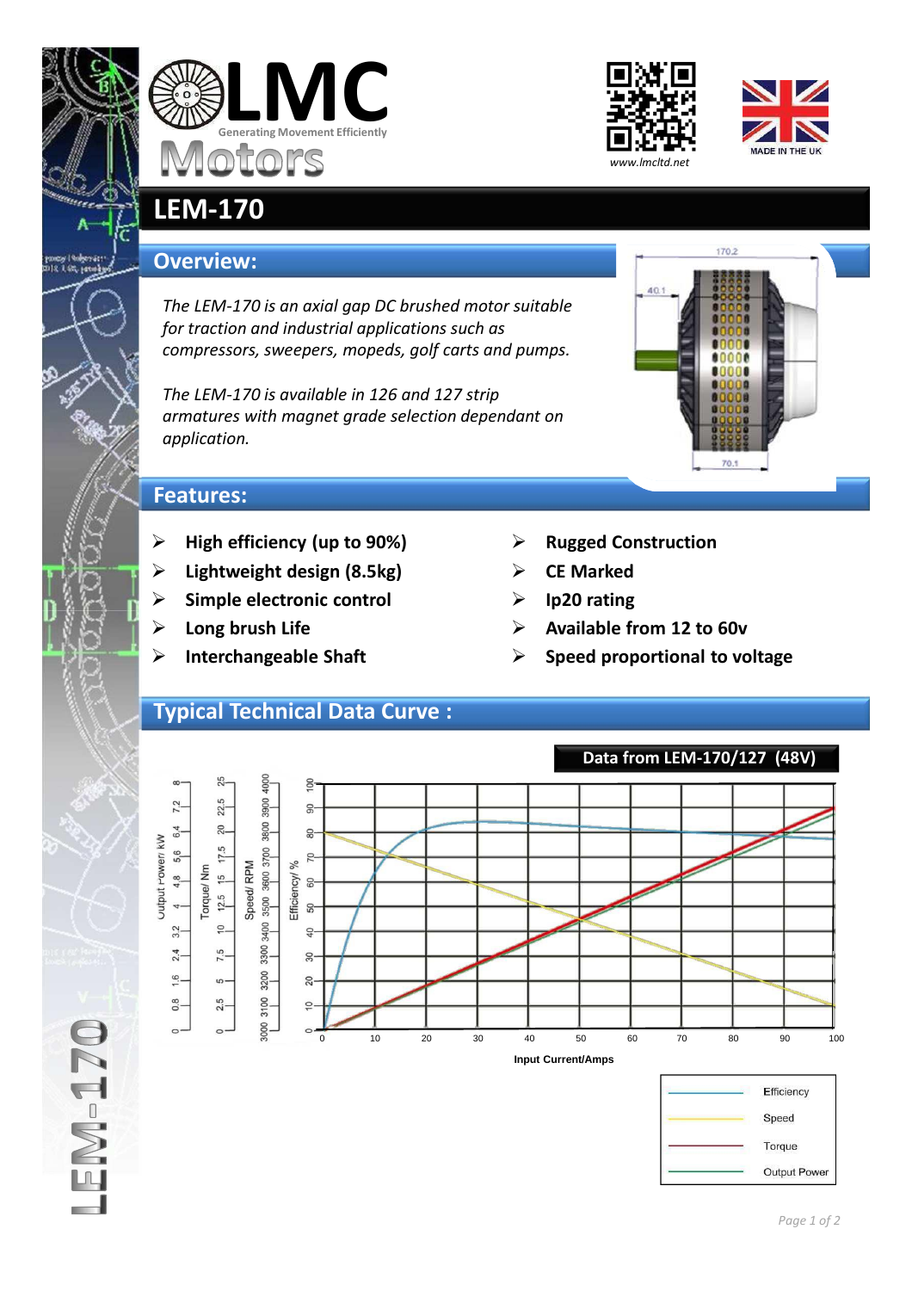







## **LEM-170**

## **Overview:**

*The LEM-170 is an axial gap DC brushed motor suitable for traction and industrial applications such as compressors, sweepers, mopeds, golf carts and pumps.*

*The LEM-170 is available in 126 and 127 strip armatures with magnet grade selection dependant on application.*



## **Features:**

- **High efficiency (up to 90%)**
- **Lightweight design (8.5kg)**
- **Simple electronic control**
- **Long brush Life**
- **Interchangeable Shaft**
- **Rugged Construction**
- **CE Marked**
- **Ip20 rating**
- **Available from 12 to 60v**
- **Speed proportional to voltage**

## **Typical Technical Data Curve :**